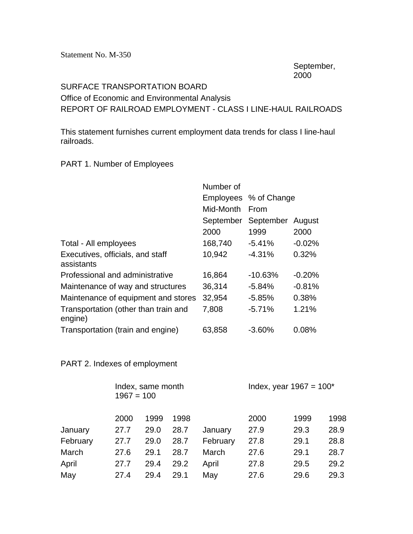Statement No. M-350

September, 2000

## SURFACE TRANSPORTATION BOARD Office of Economic and Environmental Analysis REPORT OF RAILROAD EMPLOYMENT - CLASS I LINE-HAUL RAILROADS

This statement furnishes current employment data trends for class I line-haul railroads.

## PART 1. Number of Employees

|                                                 | Number of |                       |          |  |  |
|-------------------------------------------------|-----------|-----------------------|----------|--|--|
|                                                 |           | Employees % of Change |          |  |  |
|                                                 | Mid-Month | From                  |          |  |  |
|                                                 | September | September             | August   |  |  |
|                                                 | 2000      | 1999                  | 2000     |  |  |
| Total - All employees                           | 168,740   | $-5.41%$              | $-0.02%$ |  |  |
| Executives, officials, and staff<br>assistants  | 10,942    | $-4.31%$              | 0.32%    |  |  |
| Professional and administrative                 | 16,864    | $-10.63%$             | $-0.20%$ |  |  |
| Maintenance of way and structures               | 36,314    | $-5.84%$              | $-0.81%$ |  |  |
| Maintenance of equipment and stores             | 32,954    | $-5.85%$              | 0.38%    |  |  |
| Transportation (other than train and<br>engine) | 7,808     | $-5.71%$              | 1.21%    |  |  |
| Transportation (train and engine)               | 63,858    | $-3.60%$              | 0.08%    |  |  |

## PART 2. Indexes of employment

|          | Index, same month<br>$1967 = 100$ |      |      |          | Index, year $1967 = 100^*$ |      |      |  |
|----------|-----------------------------------|------|------|----------|----------------------------|------|------|--|
|          | 2000                              | 1999 | 1998 |          | 2000                       | 1999 | 1998 |  |
| January  | 27.7                              | 29.0 | 28.7 | January  | 27.9                       | 29.3 | 28.9 |  |
| February | 27.7                              | 29.0 | 28.7 | February | 27.8                       | 29.1 | 28.8 |  |
| March    | 27.6                              | 29.1 | 28.7 | March    | 27.6                       | 29.1 | 28.7 |  |
| April    | 27.7                              | 29.4 | 29.2 | April    | 27.8                       | 29.5 | 29.2 |  |
| May      | 27.4                              | 29.4 | 29.1 | May      | 27.6                       | 29.6 | 29.3 |  |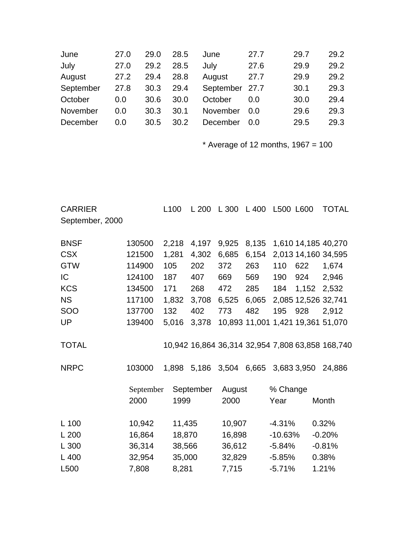| June      | 27.0 | 29.0 | 28.5 | June           | 27.7 | 29.7 | 29.2 |
|-----------|------|------|------|----------------|------|------|------|
| July      | 27.0 | 29.2 | 28.5 | July           | 27.6 | 29.9 | 29.2 |
| August    | 27.2 | 29.4 | 28.8 | August         | 27.7 | 29.9 | 29.2 |
| September | 27.8 | 30.3 | 29.4 | September 27.7 |      | 30.1 | 29.3 |
| October   | 0.0  | 30.6 | 30.0 | October        | 0.0  | 30.0 | 29.4 |
| November  | 0.0  | 30.3 | 30.1 | November       | 0.0  | 29.6 | 29.3 |
| December  | 0.0  | 30.5 | 30.2 | December       | 0.0  | 29.5 | 29.3 |
|           |      |      |      |                |      |      |      |

 $*$  Average of 12 months, 1967 = 100

| <b>CARRIER</b>  |           | L <sub>100</sub> | L200      | L 300         | L 400 | L500 L600 |             | <b>TOTAL</b>                                     |
|-----------------|-----------|------------------|-----------|---------------|-------|-----------|-------------|--------------------------------------------------|
| September, 2000 |           |                  |           |               |       |           |             |                                                  |
| <b>BNSF</b>     | 130500    | 2,218            | 4,197     | 9,925         | 8,135 |           |             | 1,610 14,185 40,270                              |
| <b>CSX</b>      | 121500    | 1,281            | 4,302     | 6,685         | 6,154 |           |             | 2,013 14,160 34,595                              |
| <b>GTW</b>      | 114900    | 105              | 202       | 372           | 263   | 110       | 622         | 1,674                                            |
| IC              | 124100    | 187              | 407       | 669           | 569   | 190       | 924         | 2,946                                            |
| <b>KCS</b>      | 134500    | 171              | 268       | 472           | 285   | 184       | 1,152       | 2,532                                            |
| <b>NS</b>       | 117100    | 1,832            | 3,708     | 6,525         | 6,065 |           |             | 2,085 12,526 32,741                              |
| SOO             | 137700    | 132              | 402       | 773           | 482   | 195       | 928         | 2,912                                            |
| UP              | 139400    | 5,016            | 3,378     | 10,893 11,001 |       |           |             | 1,421 19,361 51,070                              |
| <b>TOTAL</b>    |           |                  |           |               |       |           |             | 10,942 16,864 36,314 32,954 7,808 63,858 168,740 |
| <b>NRPC</b>     | 103000    | 1,898            | 5,186     | 3,504         | 6,665 |           | 3,683 3,950 | 24,886                                           |
|                 | September |                  | September | August        |       | % Change  |             |                                                  |
|                 | 2000      | 1999             |           | 2000          |       | Year      |             | Month                                            |
| $L$ 100         | 10,942    | 11,435           |           | 10,907        |       | $-4.31%$  |             | 0.32%                                            |
| L200            | 16,864    | 18,870           |           | 16,898        |       | $-10.63%$ |             | $-0.20%$                                         |
| L 300           | 36,314    | 38,566           |           | 36,612        |       | $-5.84%$  |             | $-0.81%$                                         |
| L 400           | 32,954    | 35,000           |           | 32,829        |       | $-5.85%$  |             | 0.38%                                            |
| L500            | 7,808     | 8,281            |           | 7,715         |       | $-5.71%$  |             | 1.21%                                            |